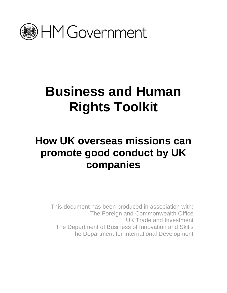

# **Business and Human Rights Toolkit**

## **How UK overseas missions can promote good conduct by UK companies**

This document has been produced in association with: The Foreign and Commonwealth Office UK Trade and Investment The Department of Business of Innovation and Skills The Department for International Development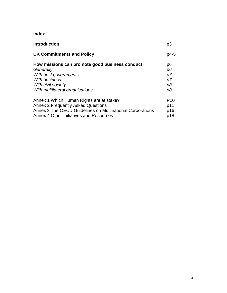### **Index**

| <b>Introduction</b>                                       | p3              |
|-----------------------------------------------------------|-----------------|
| <b>UK Commitments and Policy</b>                          | $p4-5$          |
| How missions can promote good business conduct:           | p6              |
| Generally                                                 | p6              |
| With host governments                                     | p7              |
| <b>With business</b>                                      | p7              |
| With civil society                                        | p8              |
| With multilateral organisations                           | p8              |
| Annex 1 Which Human Rights are at stake?                  | P <sub>10</sub> |
| <b>Annex 2 Frequently Asked Questions</b>                 | p11             |
| Annex 3 The OECD Guidelines on Multinational Corporations | p16             |
| Annex 4 Other Initiatives and Resources                   | p18             |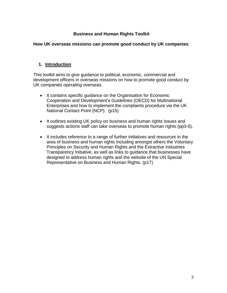#### **Business and Human Rights Toolkit**

#### **How UK overseas missions can promote good conduct by UK companies**

#### **1. Introduction**

This toolkit aims to give guidance to political, economic, commercial and development officers in overseas missions on how to promote good conduct by UK companies operating overseas.

- It contains specific guidance on the Organisation for Economic Cooperation and Development's Guidelines (OECD) for Multinational Enterprises and how to implement the complaints procedure via the UK National Contact Point (NCP). (p15)
- It outlines existing UK policy on business and human rights issues and suggests actions staff can take overseas to promote human rights (pp3-5).
- It includes reference to a range of further initiatives and resources in the area of business and human rights including amongst others the Voluntary Principles on Security and Human Rights and the Extractive Industries Transparency Initiative, as well as links to guidance that businesses have designed to address human rights and the website of the UN Special Representative on Business and Human Rights. (p17)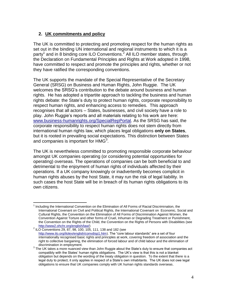#### **2. UK commitments and policy**

The UK is committed to protecting and promoting respect for the human rights as set out in the binding UN international and regional instruments to which it is a party<sup>1</sup> and in 8 binding core ILO Conventions.<sup>2</sup> All ILO member states, through the Declaration on Fundamental Principles and Rights at Work adopted in 1998, have committed to respect and promote the principles and rights, whether or not they have ratified the corresponding conventions.

The UK supports the mandate of the Special Representative of the Secretary General (SRSG) on Business and Human Rights, John Ruggie. The UK welcomes the SRSG's contribution to the debate around business and human rights. He has adopted a tripartite approach to tackling the business and human rights debate: the State's duty to protect human rights, corporate responsibility to respect human rights, and enhancing access to remedies. This approach recognises that all actors – States, businesses, and civil society have a role to play. John Ruggie's reports and all materials relating to his work are here: [www.business-humanrights.org/SpecialRepPortal.](http://www.business-humanrights.org/SpecialRepPortal) As the SRSG has said, the corporate responsibility to respect human rights does not stem directly from international human rights law, which places legal obligations **only on States**, but it is rooted in prevailing social expectations. This distinction between States and companies is important for  $HMG<sup>3</sup>$ .

The UK is nevertheless committed to promoting responsible corporate behaviour amongst UK companies operating (or considering potential opportunities for operating) overseas. The operations of companies can be both beneficial to and detrimental to the enjoyment of human rights of individuals affected by their operations. If a UK company knowingly or inadvertently becomes complicit in human rights abuses by the host State, it may run the risk of legal liability. In such cases the host State will be in breach of its human rights obligations to its own citizens.

 $\overline{a}$ <sup>1</sup> Including the International Convention on the Elimination of All Forms of Racial Discrimination, the International Covenant on Civil and Political Rights, the International Covenant on Economic, Social and Cultural Rights, the Convention on the Elimination of All Forms of Discrimination Against Women, the Convention Against Torture and other forms of Cruel, Inhuman or Degrading Treatment or Punishment, the Convention on the Rights of the Child, the Convention on the Rights of Persons with Disabilities (see [http://www2.ohchr.org/english/law/\)](http://www2.ohchr.org/english/law/)

<sup>2</sup> ILO Conventions 29, 87, 98, 100, 105, 111, 138 and 182 (see [http://www.ilo.org/ilolex/english/convdisp1.htm\)](http://www.ilo.org/ilolex/english/convdisp1.htm). The "core labour standards" are a set of four internationally recognised basic rights and principles at work, covering freedom of association and the right to collective bargaining, the elimination of forced labour and of child labour and the elimination of discrimination in employment.

 $3$  The UK takes a more nuanced view than John Ruggie about the State's duty to ensure that companies act compatibly with the States' human rights obligations. The UK's view is that this is not a blanket obligation but depends on the wording of the treaty obligation in question. To the extent that there is a legal duty to protect, it only applies in respect of a State's own inhabitants. The UK does not owe legal obligations to ensure that UK companies comply with UK human rights standards overseas.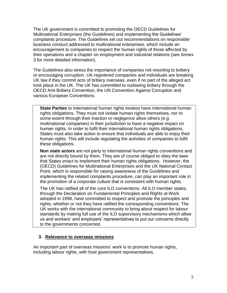The UK government is committed to promoting the OECD Guidelines for Multinational Enterprises (the Guidelines) and implementing the Guidelines' complaints procedure. The Guidelines set out recommendations on responsible business conduct addressed to multinational enterprises, which include an encouragement to companies to respect the human rights of those affected by their operations and a chapter on employment and industrial relations (see Annex 3 for more detailed information).

The Guidelines also stress the importance of companies not resorting to bribery or encouraging corruption. UK-registered companies and individuals are breaking UK law if they commit acts of bribery overseas, even if no part of the alleged act took place in the UK. The UK has committed to outlawing bribery through the OECD Anti-Bribery Convention, the UN Convention Against Corruption and various European Conventions.

**State Parties** to international human rights treaties have international human rights obligations. They must not violate human rights themselves, nor to some extent through their inaction or negligence allow others (e.g. multinational companies) in their jurisdiction to have a negative impact on human rights. In order to fulfil their international human rights obligations, States must also take action to ensure that individuals are able to enjoy their human rights. This will include regulating the activities of companies to fulfil these obligations.

**Non state actors** are not party to international human rights conventions and are not directly bound by them. They are of course obliged to obey the laws that States enact to implement their human rights obligations. However, the (OECD) Guidelines for Multinational Enterprises and the UK National Contact Point, which is responsible for raising awareness of the Guidelines and implementing the related complaints procedure, can play an important role in the promotion of a corporate culture that is consistent with human rights.

The UK has ratified all of the core ILO conventions. All ILO member states, through the Declaration on Fundamental Principles and Rights at Work adopted in 1998, have committed to respect and promote the principles and rights, whether or not they have ratified the corresponding conventions. The UK works with the international community to bring about respect for labour standards by making full use of the ILO supervisory mechanisms which allow us and workers' and employers' representatives to put our concerns directly to the governments concerned.

#### **3. Relevance to overseas missions**

An important part of overseas missions' work is to promote human rights, including labour rights, with host government representatives.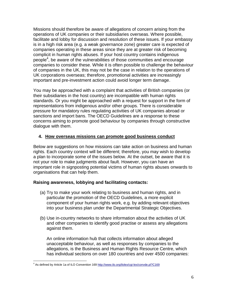Missions should therefore be aware of allegations of concern arising from the operations of UK companies or their subsidiaries overseas. Where possible, facilitate and lobby for discussion and resolution of these issues. If your embassy is in a high risk area (e.g. a weak governance zone) greater care is expected of companies operating in these areas since they are at greater risk of becoming complicit in human rights abuses. If your host country contains indigenous people<sup>4</sup>, be aware of the vulnerabilities of those communities and encourage companies to consider these. While it is often possible to challenge the behaviour of companies in the UK, this may not be the case in relation to the operations of UK corporations overseas; therefore, promotional activities are increasingly important and pre-investment action could avoid longer term damage.

You may be approached with a complaint that activities of British companies (or their subsidiaries in the host country) are incompatible with human rights standards. Or you might be approached with a request for support in the form of representations from indigenous and/or other groups. There is considerable pressure for mandatory rules regulating activities of UK companies abroad or sanctions and import bans. The OECD Guidelines are a response to these concerns aiming to promote good behaviour by companies through constructive dialogue with them.

#### **4. How overseas missions can promote good business conduct**

Below are suggestions on how missions can take action on business and human rights. Each country context will be different; therefore, you may wish to develop a plan to incorporate some of the issues below. At the outset, be aware that it is not your role to make judgments about fault. However, you can have an important role in signposting potential victims of human rights abuses onwards to organisations that can help them.

#### **Raising awareness, lobbying and facilitating contacts:**

- (a) Try to make your work relating to business and human rights, and in particular the promotion of the OECD Guidelines, a more explicit component of your human rights work, e.g. by adding relevant objectives into your business plan under the Departmental Strategic Objectives.
- (b) Use in-country networks to share information about the activities of UK and other companies to identify good practise or assess any allegations against them.

An online information hub that collects information about alleged unacceptable behaviour, as well as responses by companies to the allegations, is the Business and Human Rights Resource Centre, which has individual sections on over 180 countries and over 4500 companies:

<sup>&</sup>lt;sup>4</sup> As defined by Article 1a of ILO Convention 169 <http://www.ilo.org/ilolex/cgi-lex/convde.pl?C169>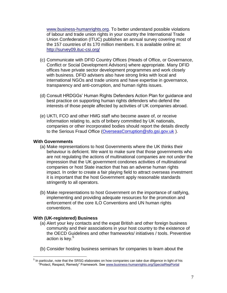[www.business-humanrights.org.](http://www.business-humanrights.org/) To better understand possible violations of labour and trade union rights in your country the International Trade Union Confederation (ITUC) publishes an annual survey covering most of the 157 countries of its 170 million members. It is available online at: <http://survey09.ituc-csi.org/>

- (c) Communicate with DFID Country Offices (Heads of Office, or Governance, Conflict or Social Development Advisors) where appropriate. Many DFID offices have private sector development programmes and work closely with business. DFID advisers also have strong links with local and international NGOs and trade unions and have expertise in governance, transparency and anti-corruption, and human rights issues.
- (d) Consult HRDGGs' Human Rights Defenders Action Plan for guidance and best practice on supporting human rights defenders who defend the interests of those people affected by activities of UK companies abroad.
- (e) UKTI, FCO and other HMG staff who become aware of, or receive information relating to, acts of bribery committed by UK nationals, companies or other incorporated bodies should report the details directly to the Serious Fraud Office (OverseasCorruption@sfo.gsi.gov.uk ).

#### **With Governments**

- (a) Make representations to host Governments where the UK thinks their behaviour is deficient. We want to make sure that those governments who are not regulating the actions of multinational companies are not under the impression that the UK government condones activities of multinational companies or host State inaction that has an adverse human rights impact. In order to create a fair playing field to attract overseas investment it is important that the host Government apply reasonable standards stringently to all operators.
- (b) Make representations to host Government on the importance of ratifying, implementing and providing adequate resources for the promotion and enforcement of the core ILO Conventions and UN human rights conventions.

#### **With (UK-registered) Business**

- (a) Alert your key contacts and the expat British and other foreign business community and their associations in your host country to the existence of the OECD Guidelines and other frameworks/ initiatives / tools. Preventive action is key.<sup>5</sup>
- (b) Consider hosting business seminars for companies to learn about the

 5 In particular, note that the SRSG elaborates on how companies can take due diligence in light of his "Protect, Respect, Remedy" Framework. See [www.business-humanrights.org/SpecialRepPortal](http://www.business-humanrights.org/SpecialRepPortal)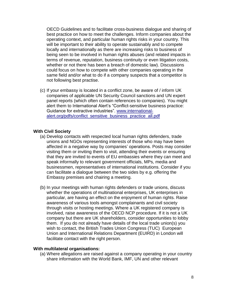OECD Guidelines and to facilitate cross-business dialogue and sharing of best practice on how to meet the challenges. Inform companies about the operating context, and particular human rights risks in your country. This will be important to their ability to operate sustainably and to compete locally and internationally as there are increasing risks to business of being seen to be involved in human rights abuses (and related impacts in terms of revenue, reputation, business continuity or even litigation costs, whether or not there has been a breach of domestic law). Discussions could focus on how to compete with other companies operating in the same field and/or what to do if a company suspects that a competitor is not following best practise.

(c) If your embassy is located in a conflict zone, be aware of / inform UK companies of applicable UN Security Council sanctions and UN expert panel reports (which often contain references to companies). You might alert them to International Alert's "Conflict-sensitive business practice: Guidance for extractive industries". [www.international](http://www.international-alert.org/pdfs/conflict_sensitive_business_practice_all.pdf)[alert.org/pdfs/conflict\\_sensitive\\_business\\_practice\\_all.pdf](http://www.international-alert.org/pdfs/conflict_sensitive_business_practice_all.pdf)

#### **With Civil Society**

- (a) Develop contacts with respected local human rights defenders, trade unions and NGOs representing interests of those who may have been affected in a negative way by companies' operations. Posts may consider visiting them or inviting them to visit, attending their events or ensuring that they are invited to events of EU embassies where they can meet and speak informally to relevant government officials, MPs, media and businessmen, representatives of international institutions. Consider if you can facilitate a dialogue between the two sides by e.g. offering the Embassy premises and chairing a meeting.
- (b) In your meetings with human rights defenders or trade unions, discuss whether the operations of multinational enterprises, UK enterprises in particular, are having an effect on the enjoyment of human rights. Raise awareness of various tools amongst complainants and civil society through visits or hosting meetings. Where a UK registered company is involved, raise awareness of the OECD NCP procedure. If it is not a UK company but there are UK shareholders, consider opportunities to lobby them. If you do not already have details of the local trade union(s) you wish to contact, the British Trades Union Congress (TUC) European Union and International Relations Department (EUIRD) in London will facilitate contact with the right person.

#### **With multilateral organisations:**

(a) Where allegations are raised against a company operating in your country share information with the World Bank, IMF, UN and other relevant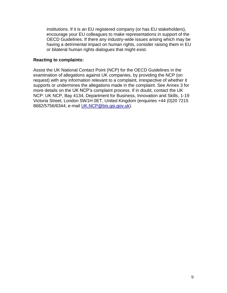institutions. If it is an EU registered company (or has EU stakeholders), encourage your EU colleagues to make representations in support of the OECD Guidelines. If there any industry-wide issues arising which may be having a detrimental impact on human rights, consider raising them in EU or bilateral human rights dialogues that might exist.

#### **Reacting to complaints:**

Assist the UK National Contact Point (NCP) for the OECD Guidelines in the examination of allegations against UK companies, by providing the NCP (on request) with any information relevant to a complaint, irrespective of whether it supports or undermines the allegations made in the complaint. See Annex 3 for more details on the UK NCP's complaint process. If in doubt, contact the UK NCP: UK NCP, Bay 4134, Department for Business, Innovation and Skills, 1-19 Victoria Street, London SW1H 0ET, United Kingdom (enquiries +44 (0)20 7215 8682/5756/6344; e-mail [UK.NCP@bis.gsi.gov.uk\)](mailto:UK.NCP@bis.gsi.gov.uk).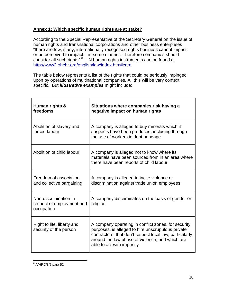#### **Annex 1: Which specific human rights are at stake?**

According to the Special Representative of the Secretary General on the issue of human rights and transnational corporations and other business enterprises "there are few, if any, internationally recognised rights business cannot impact – or be perceived to impact – in some manner. Therefore companies should consider all such rights".<sup>6</sup> UN human rights instruments can be found at <http://www2.ohchr.org/english/law/index.htm#core>

The table below represents a list of the rights that could be seriously impinged upon by operations of multinational companies. All this will be vary context specific. But *illustrative examples* might include:

| Human rights &<br>freedoms                                       | Situations where companies risk having a<br>negative impact on human rights                                                                                                                                                                          |
|------------------------------------------------------------------|------------------------------------------------------------------------------------------------------------------------------------------------------------------------------------------------------------------------------------------------------|
| Abolition of slavery and<br>forced labour                        | A company is alleged to buy minerals which it<br>suspects have been produced, including through<br>the use of workers in debt bondage                                                                                                                |
| Abolition of child labour                                        | A company is alleged not to know where its<br>materials have been sourced from in an area where<br>there have been reports of child labour                                                                                                           |
| Freedom of association<br>and collective bargaining              | A company is alleged to incite violence or<br>discrimination against trade union employees                                                                                                                                                           |
| Non-discrimination in<br>respect of employment and<br>occupation | A company discriminates on the basis of gender or<br>religion                                                                                                                                                                                        |
| Right to life, liberty and<br>security of the person             | A company operating in conflict zones, for security<br>purposes, is alleged to hire unscrupulous private<br>contractors, that don't respect local law, particularly<br>around the lawful use of violence, and which are<br>able to act with impunity |

<sup>&</sup>lt;u>.</u><br><sup>6</sup> A/HRC/8/5 para 52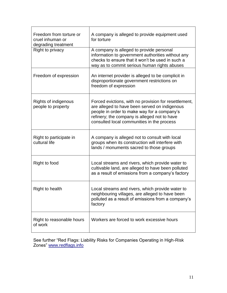| Freedom from torture or<br>cruel inhuman or<br>degrading treatment | A company is alleged to provide equipment used<br>for torture                                                                                                                                                                                       |
|--------------------------------------------------------------------|-----------------------------------------------------------------------------------------------------------------------------------------------------------------------------------------------------------------------------------------------------|
| Right to privacy                                                   | A company is alleged to provide personal<br>information to government authorities without any<br>checks to ensure that it won't be used in such a<br>way as to commit serious human rights abuses                                                   |
| Freedom of expression                                              | An internet provider is alleged to be complicit in<br>disproportionate government restrictions on<br>freedom of expression                                                                                                                          |
| Rights of indigenous<br>people to property                         | Forced evictions, with no provision for resettlement,<br>are alleged to have been served on indigenous<br>people in order to make way for a company's<br>refinery; the company is alleged not to have<br>consulted local communities in the process |
| Right to participate in<br>cultural life                           | A company is alleged not to consult with local<br>groups when its construction will interfere with<br>lands / monuments sacred to those groups                                                                                                      |
| Right to food                                                      | Local streams and rivers, which provide water to<br>cultivable land, are alleged to have been polluted<br>as a result of emissions from a company's factory                                                                                         |
| Right to health                                                    | Local streams and rivers, which provide water to<br>neighbouring villages, are alleged to have been<br>polluted as a result of emissions from a company's<br>factory                                                                                |
| Right to reasonable hours<br>of work                               | Workers are forced to work excessive hours                                                                                                                                                                                                          |

See further "Red Flags: Liability Risks for Companies Operating in High-Risk Zones" [www.redflags.info](http://www.redflags.info/)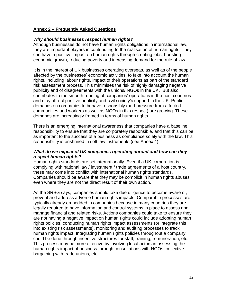#### **Annex 2 – Frequently Asked Questions**

#### *Why should businesses respect human rights?*

Although businesses do not have human rights obligations in international law, they are important players in contributing to the realisation of human rights. They can have a positive impact on human rights through creating jobs, boosting economic growth, reducing poverty and increasing demand for the rule of law.

It is in the interest of UK businesses operating overseas, as well as of the people affected by the businesses' economic activities, to take into account the human rights, including labour rights, impact of their operations as part of the standard risk assessment process. This minimises the risk of highly damaging negative publicity and of disagreements with the unions/ NGOs in the UK. But also contributes to the smooth running of companies' operations in the host countries and may attract positive publicity and civil society's support in the UK. Public demands on companies to behave responsibly (and pressure from affected communities and workers as well as NGOs in this respect) are growing. These demands are increasingly framed in terms of human rights.

There is an emerging international awareness that companies have a baseline responsibility to ensure that they are corporately responsible, and that this can be as important to the success of a business as compliance solely with the law. This responsibility is enshrined in soft law instruments (see Annex 4).

#### *What do we expect of UK companies operating abroad and how can they respect human rights?*

Human rights standards are set internationally. Even if a UK corporation is complying with national law / investment / trade agreements of a host country, these may come into conflict with international human rights standards. Companies should be aware that they may be complicit in human rights abuses even where they are not the direct result of their own action.

As the SRSG says, companies should take due diligence to become aware of, prevent and address adverse human rights impacts. Comparable processes are typically already embedded in companies because in many countries they are legally required to have information and control systems in place to assess and manage financial and related risks. Actions companies could take to ensure they are not having a negative impact on human rights could include adopting human rights policies, conducting human rights impact assessments (or integrate this into existing risk assessments), monitoring and auditing processes to track human rights impact. Integrating human rights policies throughout a company could be done through incentive structures for staff, training, remuneration, etc. This process may be more effective by involving local actors in assessing the human rights impact of business through consultations with NGOs, collective bargaining with trade unions, etc.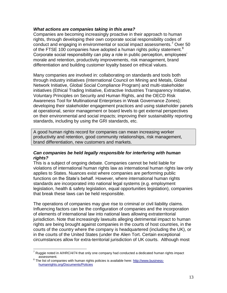#### *What actions are companies taking in this area?*

Companies are becoming increasingly proactive in their approach to human rights, through developing their own corporate social responsibility codes of conduct and engaging in environmental or social impact assessments.<sup>7</sup> Over 50 of the FTSE 100 companies have adopted a human rights policy statement.<sup>8</sup> Corporate social responsibility can play a role in public perception, employees' morale and retention, productivity improvements, risk management, brand differentiation and building customer loyalty based on ethical values.

Many companies are involved in: collaborating on standards and tools both through industry initiatives (International Council on Mining and Metals, Global Network Initiative, Global Social Compliance Program) and multi-stakeholder initiatives (Ethical Trading Initiative, Extractive Industries Transparency Initiative, Voluntary Principles on Security and Human Rights, and the OECD Risk Awareness Tool for Multinational Enterprises in Weak Governance Zones); developing their stakeholder engagement practices and using stakeholder panels at operational, senior management or board levels to get external perspectives on their environmental and social impacts; improving their sustainability reporting standards, including by using the GRI standards, etc.

A good human rights record for companies can mean increasing worker productivity and retention, good community relationships, risk management, brand differentiation, new customers and markets.

#### *Can companies be held legally responsible for interfering with human rights?*

This is a subject of ongoing debate. Companies cannot be held liable for violations of international human rights law as international human rights law only applies to States. Nuances exist where companies are performing public functions on the State's behalf. However, where international human rights standards are incorporated into national legal systems (e.g. employment legislation, health & safety legislation, equal opportunities legislation), companies that break these laws can be held responsible.

The operations of companies may give rise to criminal or civil liability claims. Influencing factors can be the configuration of companies and the incorporation of elements of international law into national laws allowing extraterritorial jurisdiction. Note that increasingly lawsuits alleging detrimental impact to human rights are being brought against companies in the courts of host countries, in the courts of the country where the company is headquartered (including the UK), or in the courts of the United States (under the Alien Tort. Certain exceptional circumstances allow for extra-territorial jurisdiction of UK courts. Although most

 $\overline{a}$  $^7$  Ruggie noted in A/HRC/4/74 that only one company had conducted a dedicated human rights impact assessment.

<sup>&</sup>lt;sup>8</sup> The list of companies with human rights policies is available here: [http://www.business](http://www.business-humanrights.org/Documents/Policies)[humanrights.org/Documents/Policies](http://www.business-humanrights.org/Documents/Policies)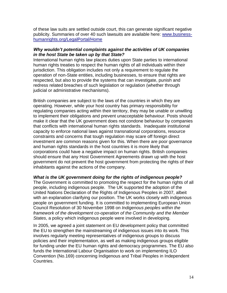of these law suits are settled outside court, this can generate significant negative publicity. Summaries of over 40 such lawsuits are available here: [www.business](http://www.business-humanrights.org/LegalPortal/Home)[humanrights.org/LegalPortal/Home](http://www.business-humanrights.org/LegalPortal/Home)

#### *Why wouldn't potential complaints against the activities of UK companies in the host State be taken up by that State?*

International human rights law places duties upon State parties to international human rights treaties to respect the human rights of all individuals within their jurisdiction. This obligation includes not only a requirement to regulate the operation of non-State entities, including businesses, to ensure that rights are respected, but also to provide the systems that can investigate, punish and redress related breaches of such legislation or regulation (whether through judicial or administrative mechanisms).

British companies are subject to the laws of the countries in which they are operating. However, while your host country has primary responsibility for regulating companies acting within their territory, they may be unable or unwilling to implement their obligations and prevent unacceptable behaviour. Posts should make it clear that the UK government does not condone behaviour by companies that conflicts with international human rights standards. Inadequate institutional capacity to enforce national laws against transnational corporations, resource constraints and concerns that tough regulation may scare off foreign direct investment are common reasons given for this. When there are poor governance and human rights standards in the host countries it is more likely that corporations could have a negative impact on human rights. British companies should ensure that any Host Government Agreements drawn up with the host government do not prevent the host government from protecting the rights of their inhabitants against the actions of the company.

#### *What is the UK government doing for the rights of indigenous people?*

The Government is committed to promoting the respect for the human rights of all people, including indigenous people. The UK supported the adoption of the United Nations Declaration of the Rights of Indigenous Peoples in 2007, albeit with an explanation clarifying our position. The UK works closely with indigenous people on government funding. It is committed to implementing European Union Council Resolution of 30 November 1998 on *Indigenous peoples within the framework of the development co-operation of the Community and the Member States*, a policy which indigenous people were involved in developing.

In 2005, we agreed a joint statement on EU development policy that committed the EU to strengthen the mainstreaming of indigenous issues into its work. This involves regularly meeting representatives of indigenous groups to discuss policies and their implementation, as well as making indigenous groups eligible for funding under the EU human rights and democracy programmes. The EU also funds the International Labour Organisation to work on implementing ILO Convention (No.169) concerning Indigenous and Tribal Peoples in Independent Countries.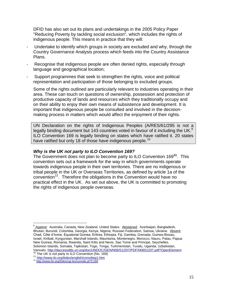DFID has also set out its plans and undertakings in the 2005 Policy Paper "Reducing Poverty by tackling social exclusion", which includes the rights of indigenous people. This means in practice that they will:

- Undertake to identify which groups in society are excluded and why, through the Country Governance Analysis process which feeds into the Country Assistance Plans.
- Recognise that indigenous people are often denied rights, especially through language and geographical location;
- Support programmes that seek to strengthen the rights, voice and political representation and participation of those belonging to excluded groups.

Some of the rights outlined are particularly relevant to industries operating in their area. These can touch on questions of ownership, possession and protection of productive capacity of lands and resources which they traditionally occupy and on their ability to enjoy their own means of subsistence and development. It is important that indigenous people be consulted and involved in the decisionmaking process in matters which would affect the enjoyment of their rights.

UN Declaration on the rights of Indigenous Peoples (A/RES/61/295 is not a legally binding document but 143 countries voted in favour of it including the UK.<sup>9</sup> ILO Convention 169 is legally binding on states which have ratified it. 20 states have ratified but only 18 of those have indigenous people.<sup>10</sup>

#### *Why is the UK not party to ILO Convention 169?*

The Government does not plan to become party to ILO Convention 169**<sup>11</sup>** . This convention sets out a framework for the way in which governments operate towards indigenous people in their own territories. There are no indigenous or tribal people in the UK or Overseas Territories, as defined by article 1a of the convention<sup>12</sup>. Therefore the obligations in the Convention would have no practical effect in the UK. As set out above, the UK is committed to promoting the rights of indigenous people overseas.

<u>。</u><br><sup>9</sup> Against: Australia, Canada, New Zealand, United States. Abstained: Azerbaijan, Bangladesh, Bhutan, Burundi, Colombia, Georgia, Kenya, Nigeria, Russian Federation, Samoa, Ukraine. Absent: Chad, Côte d'Ivoire, Equatorial Guinea, Eritrea, Ethiopia, Fiji, Gambia, Grenada, Guinea-Bissau, Israel, Kiribati, Kyrgyzstan, Marshall Islands, Mauritania, Montenegro, Morocco, Nauru, Palau, Papua New Guinea, Romania, Rwanda, Saint Kitts and Nevis, Sao Tome and Principe, Seychelles, Solomon Islands, Somalia, Tajikistan, Togo, Tonga, Turkmenistan, Tuvalu, Uganda, Uzbekistan, Vanuatu.<http://daccessdds.un.org/doc/UNDOC/GEN/N06/512/07/PDF/N0651207.pdf?OpenElement>

<sup>&</sup>lt;sup>10</sup> The UK is not party to ILO Convention (No. 169)

<sup>11</sup> <http://www.ilo.org/ilolex/english/convdisp1.htm><br><sup>12</sup> <http://www.ilo.org/ilolex/cgi-lex/convde.pl?C169>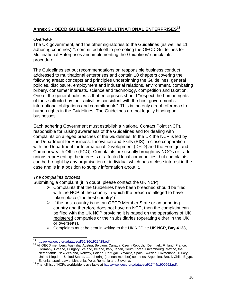#### **Annex 3 - OECD GUIDELINES FOR MULTINATIONAL ENTERPRISES<sup>13</sup>**

#### *Overview*

The UK government, and the other signatories to the Guidelines (as well as 11 adhering countries)<sup>14</sup>, committed itself to promoting the OECD Guidelines for Multinational Enterprises and implementing the Guidelines' complaints procedure.

The Guidelines set out recommendations on responsible business conduct addressed to multinational enterprises and contain 10 chapters covering the following areas: concepts and principles underpinning the Guidelines, general policies, disclosure, employment and industrial relations, environment, combating bribery, consumer interests, science and technology, competition and taxation. One of the general policies is that enterprises should "respect the human rights of those affected by their activities consistent with the host government's international obligations and commitments". This is the only direct reference to human rights in the Guidelines. The Guidelines are not legally binding on businesses.

Each adhering Government must establish a National Contact Point (NCP), responsible for raising awareness of the Guidelines and for dealing with complaints on alleged breaches of the Guidelines. In the UK the NCP is led by the Department for Business, Innovation and Skills (BIS) in close cooperation with the Department for International Development (DFID) and the Foreign and Commonwealth Office (FCO). Complaints are usually brought by NGOs or trade unions representing the interests of affected local communities, but complaints can be brought by any organisation or individual which has a close interest in the case and is in a position to supply information about it.

#### *The complaints process*

Submitting a complaint (if in doubt, please contact the UK NCP):

- $\triangleright$  Complaints that the Guidelines have been breached should be filed with the NCP of the country in which the breach is alleged to have taken place ("the host country") $15$ .
- $\triangleright$  If the host country is not an OECD Member State or an adhering country and therefore does not have an NCP, then the complaint can be filed with the UK NCP providing it is based on the operations of UK registered companies or their subsidiaries (operating either in the UK or overseas).
- Complaints must be sent in writing to the UK NCP at: **UK NCP, Bay 4133,**

 $\overline{a}$ 13 <http://www.oecd.org/dataoecd/56/36/1922428.pdf>

<sup>14</sup> All OECD members: Australia, Austria, Belgium, Canada, Czech Republic, Denmark, Finland, France, Germany, Greece, Hungary, Iceland, Ireland, Italy, Japan, South Korea, Luxembourg, Mexico, the Netherlands, New Zealand, Norway, Poland, Portugal, Slovakia, Spain, Sweden, Switzerland, Turkey, United Kingdom, United States. 11 adhering (but non-member) countries: Argentina, Brazil, Chile, Egypt, Estonia, Israel, Latvia, Lithuania, Peru, Romania and Slovenia.

<sup>&</sup>lt;sup>15</sup> The full list of NCPs worldwide is available at [http://www.oecd.org/dataoecd/17/44/1900962.pdf.](http://www.oecd.org/dataoecd/17/44/1900962.pdf)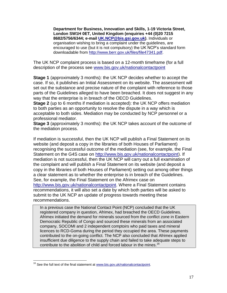**Department for Business, Innovation and Skills, 1-19 Victoria Street, London SW1H 0ET, United Kingdom (enquiries +44 (0)20 7215 8682/5756/6344; e-mail [UK.NCP@bis.gsi.gov.uk\)](mailto:UK.NCP@bis.gsi.gov.uk)**. Individuals or organisation wishing to bring a complaint under the guidelines, are encouraged to use (but it is not compulsory) the UK NCP's standard form downloadable from [http://www.berr.gov.uk/files/file47341.pdf.](http://www.berr.gov.uk/files/file47341.pdf)

The UK NCP complaint process is based on a 12-month timeframe (for a full description of the process see [www.bis.gov.uk/nationalcontactpoint](http://www.bis.gov.uk/nationalcontactpoint)

**Stage 1** (approximately 3 months): the UK NCP decides whether to accept the case. If so, it publishes an Initial Assessment on its website. The assessment will set out the substance and precise nature of the complaint with reference to those parts of the Guidelines alleged to have been breached. It does not suggest in any way that the enterprise is in breach of the OECD Guidelines.

**Stage 2** (up to 6 months if mediation is accepted): the UK NCP offers mediation to both parties as an opportunity to resolve the dispute in a way which is acceptable to both sides. Mediation may be conducted by NCP personnel or a professional mediator.

**Stage 3** (approximately 3 months): the UK NCP takes account of the outcome of the mediation process.

If mediation is successful, then the UK NCP will publish a Final Statement on its website (and deposit a copy in the libraries of both Houses of Parliament) recognising the successful outcome of the mediation (see, for example, the Final Statement on the G4S case on [http://www.bis.gov.uk/nationalcontactpoint\)](http://www.bis.gov.uk/nationalcontactpoint). If mediation is not successful, then the UK NCP will carry out a full examination of the complaint and will publish a Final Statement on its website (and deposit a copy in the libraries of both Houses of Parliament) setting out among other things a clear statement as to whether the enterprise is in breach of the Guidelines. See, for example, the Final Statement on the Afrimex case on [http://www.bis.gov.uk/nationalcontactpoint.](http://www.bis.gov.uk/nationalcontactpoint) Where a Final Statement contains recommendations, it will also set a date by which both parties will be asked to submit to the UK NCP an update of progress towards meeting these recommendations.

In a previous case the National Contact Point (NCP) concluded that the UK registered company in question, Afrimex, had breached the OECD Guidelines. Afrimex initiated the demand for minerals sourced from the conflict zone in Eastern Democratic Republic of Congo and sourced these minerals from an associated company, SOCOMI and 2 independent comptoirs who paid taxes and mineral licences to RCD-Goma during the period they occupied the area. These payments contributed to the on-going conflict. The NCP also concluded that Afrimex applied insufficient due diligence to the supply chain and failed to take adequate steps to contribute to the abolition of child and forced labour in the mines.<sup>16</sup>

 $\overline{a}$  $16$  See the full text of the final statement at  $www.bis.gov.uk/nationalcontact point$ .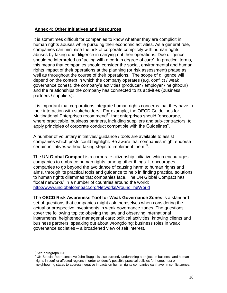#### **Annex 4: Other Initiatives and Resources**

It is sometimes difficult for companies to know whether they are complicit in human rights abuses while pursuing their economic activities. As a general rule, companies can minimise the risk of corporate complicity with human rights abuses by taking due diligence in carrying out their operations. Due diligence should be interpreted as "acting with a certain degree of care". In practical terms, this means that companies should consider the social, environmental and human rights impact of their operations at the planning (or risk assessment) phase as well as throughout the course of their operations. The scope of diligence will depend on the context in which the company operates (e.g. conflict / weak governance zones), the company's activities (producer / employer / neighbour) and the relationships the company has connected to its activities (business partners / suppliers).

It is important that corporations integrate human rights concerns that they have in their interaction with stakeholders. For example, the OECD Guidelines for Multinational Enterprises recommend<sup>17</sup> that enterprises should "encourage, where practicable, business partners, including suppliers and sub-contractors, to apply principles of corporate conduct compatible with the Guidelines".

A number of voluntary initiatives/ guidance / tools are available to assist companies which posts could highlight. Be aware that companies might endorse certain initiatives without taking steps to implement them<sup>18</sup>:

The **UN Global Compact** is a corporate citizenship initiative which encourages companies to embrace human rights, among other things. It encourages companies to go beyond the avoidance of causing harm to human rights and aims, through its practical tools and guidance to help in finding practical solutions to human rights dilemmas that companies face. The UN Global Compact has "local networks" in a number of countries around the world: <http://www.unglobalcompact.org/NetworksAroundTheWorld>

The **OECD Risk Awareness Tool for Weak Governance Zones** is a standard set of questions that companies might ask themselves when considering the actual or prospective investments in weak governance zones. The questions cover the following topics: obeying the law and observing international instruments; heightened managerial care; political activities; knowing clients and business partners; speaking out about wrongdoing; business roles in weak governance societies – a broadened view of self interest.

<sup>&</sup>lt;sup>17</sup> See paragraph II-10.

<sup>&</sup>lt;sup>18</sup> UN Special Representative John Ruggie is also currently undertaking a project on business and human rights in conflict-affected regions in order to identify possible practical policies for home, host or neighbouring states to address negative impacts on human rights companies can have in conflict zones.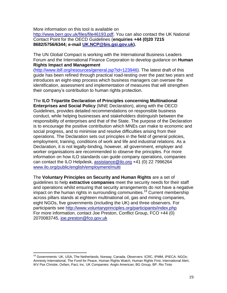More information on this tool is available on [http://www.berr.gov.uk/files/file46193.pdf.](http://www.berr.gov.uk/files/file46193.pdf) You can also contact the UK National Contact Point for the OECD Guidelines (**enquiries +44 (0)20 7215 8682/5756/6344; e-mail [UK.NCP@bis.gsi.gov.uk\)](mailto:UK.NCP@bis.gsi.gov.uk).**

The UN Global Compact is working with the International Business Leaders Forum and the International Finance Corporation to develop guidance on **Human Rights Impact and Management**

[\(http://www.iblf.org/resources/general.jsp?id=123946\)](http://www.iblf.org/resources/general.jsp?id=123946). The latest draft of this guide has been refined through practical road-testing over the past two years and introduces an eight-step process which business managers can oversee the identification, assessment and implementation of measures that will strengthen their company's contribution to human rights protection.

#### The **ILO Tripartite Declaration of Principles concerning Multinational**

**Enterprises and Social Policy** (MNE Declaration), along with the OECD Guidelines, provides detailed recommendations on responsible business conduct, while helping businesses and stakeholders distinguish between the responsibility of enterprises and that of the State. The purpose of the Declaration is to encourage the positive contribution which MNEs can make to economic and social progress, and to minimise and resolve difficulties arising from their operations. The Declaration sets out principles in the field of general policies, employment, training, conditions of work and life and industrial relations. As a Declaration, it is not legally-binding, however, all government, employer and worker organisations are recommended to observe the principles. For more information on how ILO standards can guide company operations, companies can contact the ILO Helpdesk, [assistance@ilo.org](mailto:assistance@ilo.org) +41 (0) 22 7996264 [www.ilo.org/public/english/employment/multi](http://www.ilo.org/public/english/employment/multi)

The **Voluntary Principles on Security and Human Rights** are a set of guidelines to help **extractive companies** meet the security needs for their staff and operations whilst ensuring that security arrangements do not have a negative impact on the human rights in surrounding communities.<sup>19</sup> Current membership across pillars stands at eighteen multinational oil, gas and mining companies, eight NGOs, five governments (including the UK) and three observers. For participants see<http://www.voluntaryprinciples.org/participants/index.php> For more information, contact Joe Preston, Conflict Group, FCO +44 (0) 2070083745, [joe.preston@fco.gov.uk](mailto:joe.preston@fco.gov.uk)

<sup>&</sup>lt;sup>19</sup> Governments: UK, USA, The Netherlands, Norway, Canada. Observers: ICRC, IPMM, IPIECA. NGOs: Amnesty International, The Fund for Peace, Human Rights Watch, Human Rights First, International Alert, IKV Pax Christie, Oxfam, Pact, Inc. UK Companies: Anglo American, BG Group, BP, Rio Tinto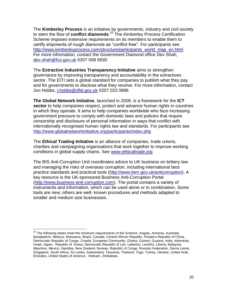The **Kimberley Process** is an initiative by governments, industry and civil society to stem the flow of **conflict diamonds**. <sup>20</sup> The Kimberley Process Certification Scheme imposes extensive requirements on its members to enable them to certify shipments of rough diamonds as "conflict-free". For participants see [http://www.kimberleyprocess.com/structure/participants\\_world\\_map\\_en.html](http://www.kimberleyprocess.com/structure/participants_world_map_en.html) For more information, contact the Government Diamond office Dev Shah, [dev.shah@fco.gov.uk](mailto:dev.shah@fco.gov.uk) 0207 008 6930

The **Extractive Industries Transparency Initiative** aims to strengthen governance by improving transparency and accountability in the extractives sector. The EITI sets a global standard for companies to publish what they pay and for governments to disclose what they receive. For more information, contact Jon Hobbs, [j-hobbs@dfid.gov.uk](mailto:j-hobbs@dfid.gov.uk) 0207 023 0896

**The Global Network Initiative**, launched in 2008, is a framework for the **ICT sector** to help companies respect, protect and advance human rights in countries in which they operate. It aims to help companies worldwide who face increasing government pressure to comply with domestic laws and policies that require censorship and disclosure of personal information in ways that conflict with internationally recognised human rights law and standards. For participants see <http://www.globalnetworkinitiative.org/participants/index.php>

The **Ethical Trading Initiative** is an alliance of companies, trade unions, charities and campaigning organisations that work together to improve working conditions in global supply chains. See [www.ethicaltrade.org](http://www.ethicaltrade.org/)

The BIS Anti-Corruption Unit coordinates advice to UK business on bribery law and managing the risks of overseas corruption, including international best practice standards and practical tools [\(http://www.berr.gov.uk/anticorruption\)](http://www.berr.gov.uk/anticorruption). A key resource is the UK-sponsored Business Anti-Corruption Portal [\(http://www.business-anti-corruption.com\)](http://www.business-anti-corruption.com/Home.asp?pageid=4). The portal contains a variety of instruments and information, which can be used alone or in combination. Some tools are new; others are well- known procedures and methods adapted to smaller and medium size businesses.

 $^{20}$  The following states meet the minimum requirements of the Scheme[: Angola, Armenia, Australia,](http://www.kimberleyprocess.com/structure/participants_world_map_en.html##) [Bangladesh, Belarus, Botswana, Brazil, Canada, Central African Republic, People's Republic of](http://www.kimberleyprocess.com/structure/participants_world_map_en.html##) China, [Democratic Republic of](http://www.kimberleyprocess.com/structure/participants_world_map_en.html##) Congo, [Croatia, European Community, Ghana, Guinea, Guyana, India, Indonesia,](http://www.kimberleyprocess.com/structure/participants_world_map_en.html##) [Israel, Japan, Republic of](http://www.kimberleyprocess.com/structure/participants_world_map_en.html##) Korea, [Democratic Republic of](http://www.kimberleyprocess.com/structure/participants_world_map_en.html##) Lao[, Lebanon, Lesotho, Liberia, Malaysia,](http://www.kimberleyprocess.com/structure/participants_world_map_en.html##) [Mauritius, Mexico, Namibia, New Zealand, Norway, Republic of Congo, Russian Federation, Sierra Leone,](http://www.kimberleyprocess.com/structure/participants_world_map_en.html##) [Singapore, South Africa, Sri Lanka, Switzerland, Tanzania, Thailand, Togo, Turkey, Ukraine, United Arab](http://www.kimberleyprocess.com/structure/participants_world_map_en.html##)  [Emirates, United States of America](http://www.kimberleyprocess.com/structure/participants_world_map_en.html##) [, Vietnam, Zimbabwe.](http://www.kimberleyprocess.com/structure/participants_world_map_en.html##)